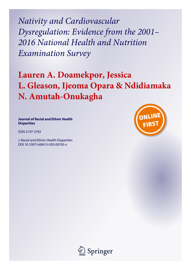*Nativity and Cardiovascular Dysregulation: Evidence from the 2001– 2016 National Health and Nutrition Examination Survey*

# **Lauren A. Doamekpor, Jessica L. Gleason, Ijeoma Opara & Ndidiamaka N. Amutah-Onukagha**

**Journal of Racial and Ethnic Health Disparities**

ISSN 2197-3792

J. Racial and Ethnic Health Disparities DOI 10.1007/s40615-020-00765-z



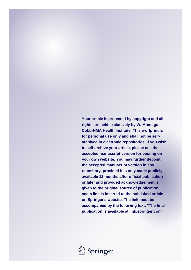**Your article is protected by copyright and all rights are held exclusively by W. Montague Cobb-NMA Health Institute. This e-offprint is for personal use only and shall not be selfarchived in electronic repositories. If you wish to self-archive your article, please use the accepted manuscript version for posting on your own website. You may further deposit the accepted manuscript version in any repository, provided it is only made publicly available 12 months after official publication or later and provided acknowledgement is given to the original source of publication and a link is inserted to the published article on Springer's website. The link must be accompanied by the following text: "The final publication is available at link.springer.com".**

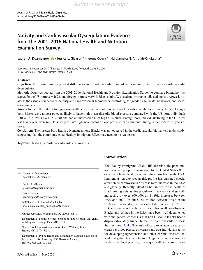### Nativity and Cardiovascular Dysregulation: Evidence from the 2001–2016 National Health and Nutrition Examination Survey



Lauren A. Doamekpor<sup>1</sup> (D · Jessica L. Gleason<sup>2</sup> · Ijeoma Opara<sup>3</sup> · Ndidiamaka N. Amutah-Onukagha<sup>4</sup>

Received: 11 November 2019 / Revised: 14 March 2020 / Accepted: 22 April 2020  $\odot$  W. Montague Cobb-NMA Health Institute 2020

### Abstract

Objectives To examine nativity-based differences in 3 cardiovascular biomarkers commonly used to assess cardiovascular dysregulation.

Methods Data was pooled from the 2001–2016 National Health and Nutrition Examination Survey to compare biomarker risk scores for the US-born ( $n = 4693$ ) and foreign-born ( $n = 2968$ ) Black adults. We used multivariable-adjusted logistic regression to assess the association between nativity and cardiovascular biomarkers, controlling for gender, age, health behaviors, and socioeconomic status.

Results In the full model, a foreign-born health advantage was not observed in all 3 cardiovascular biomarkers. In fact, foreignborn Blacks were almost twice as likely to have high mean diastolic blood pressure compared with the US-born individuals  $(OR = 1.82; 95\% CI = 1.15, 2.88)$  and had an increased risk of high 60-s pulse. Foreign-born individuals living in the USA for less than 5 years were 62% less likely to have high mean systolic blood pressure than individuals living in the USA for 20 years or more.

Conclusions The foreign-born health advantage among Blacks was not observed in the cardiovascular biomarkers under study, suggesting that the commonly cited Healthy Immigrant Effect may need to be reassessed.

Keywords Nativity · Cardiovascular risk · Biomarkers

 $\boxtimes$  Lauren A. Doamekpor [doamekpor3@gmail.com](mailto:doamekpor3@gmail.com) Jessica L. Gleason jgleason@terpmail.umd.edu Ijeoma Opara ijeoma.opara@stonybrook.edu Ndidiamaka N. Amutah-Onukagha ndidiamaka.amutah\_onukagha@tufts.edu <sup>1</sup> Guidehouse LLP, Washington, DC 20006, USA <sup>2</sup> Department of Family Science, School of Public Health, University of Maryland, College Park, MD, USA <sup>3</sup> Stony Brook University School of Social Welfare, Stony Brook, NY 11794, USA <sup>4</sup> Department of Public Health and Community Medicine, School of Medicine, Tufts University, 136 Harrison Avenue, Boston, MA 02111, USA

### Introduction

The Healthy Immigrant Effect (HIE) describes the phenomenon in which people who migrate to the United States (US) experience better health outcomes than those born in the USA. Immigrants' cardiovascular risk profile has garnered special attention as cardiovascular disease rates increase in the USA and globally. Recently, attention has shifted to the health of Black immigrants as this population has seen rapid growth, increasing by over 800,000, an 11-fold increase, between 1970 and 2000. In 2015, 2.1 million Africans lived in the USA and this rapid growth is expected to increase [[1,](#page-11-0) [2\]](#page-11-0).

Cardiovascular health disparities between all non-Hispanic Blacks and Whites in the USA have been well-documented with the general consensus that non-Hispanic Blacks bear a disproportionately higher burden of cardiovascular disease than Whites [\[3,](#page-11-0) [4\]](#page-11-0). The risk of cardiovascular disease increases as blood pressure increases and puts individuals at risk for developing hypertension and other chronic diseases that lead to negative health outcomes. Hypertension, or chronically elevated blood pressure, is a major health concern for non-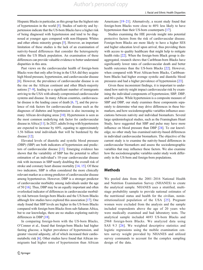Hispanic Blacks in particular, as this group has the highest rate of hypertension in the world [[5\]](#page-11-0). Studies of nativity and hypertension indicate that the US-born Blacks have a higher risk of being diagnosed with hypertension and tend to be diagnosed at younger ages compared with non-Hispanic Whites and other ethnic minority groups [\[5](#page-11-0)]. However, an important limitation of these studies is the lack of an examination of nativity-based differences that consider the heterogeneity within the US Black population. An examination of these differences can provide valuable evidence to better understand disparities in this area.

Past views on the cardiovascular health of foreign-born Blacks were that only after living in the USA did they acquire high blood pressure, hypertension, and cardiovascular disease [\[6](#page-11-0)]. However, the prevalence of cardiovascular disease is on the rise on the African continent and other Black-majority nations [\[7](#page-11-0)–[9\]](#page-11-0), leading to a significant number of immigrants arriving to the USA with already compromised cardiovascular systems and disease. In many African countries, cardiovascular disease is the leading cause of death [\[6](#page-11-0), [7](#page-11-0)], and the prevalence of risk factors for cardiovascular disease such as the diagnoses of diabetes and hypertension is also increasing in many African developing areas [\[10\]](#page-11-0). Hypertension is seen as the most common underlying risk factor for cardiovascular disease in Africa [[11](#page-11-0)]. In 2025, adults living with hypertension are expected to increase by 60%, equating to approximately 1.56 billion total individuals that will be burdened by the disease [[12](#page-11-0)].

Elevated levels of diastolic and systolic blood pressure (DBP) (SBP) are both indicators of hypertension and predictors of cardiovascular disease [\[13](#page-11-0)]. Emerging evidence has shown that the variability of SBP has the potential to affect estimation of an individual's 10-year cardiovascular disease risk with increases in SBP nearly doubling the overall risk of stroke and coronary heart disease mortality [[14,](#page-11-0) [15](#page-11-0)]. Of these two indicators, SBP is often considered the more clinically relevant marker as a strong predictor of cardiovascular disease among hypertensives. However, DBP is a stronger predictor of cardiovascular morbidity among individuals under the age of 50 [[16](#page-11-0)]. Thus, DBP may be an equally important and often overlooked indicator of differences in cardiovascular morbidity risk between foreign-born Blacks and the US-born Blacks although few studies have explored this association [\[17\]](#page-11-0). One study found that SBP levels are higher in the US-born Blacks compared with foreign-born Blacks from sub-Saharan Africa, but to our knowledge, there are no studies exploring nativity differences in DBP [\[18](#page-11-0)].

In comparing foreign-born with the US-born Blacks, O'Connor et al., found that foreign-born Blacks had higher fasting glucose, a higher prevalence of hypertension, and greater visceral adiposity, all of which increased their cardiometabolic risk [\[6](#page-11-0)]. Other studies have found that African immigrants had higher rates of hypertension than African

Americans [[19](#page-11-0)–[21\]](#page-12-0). Alternatively, a recent study found that foreign-born Blacks were close to 40% less likely to have hypertension than their US-born counterparts [[17\]](#page-11-0).

Studies examining the HIE provide insight into potential protective factors from the risk of cardiovascular disease. Foreign-born Blacks are more likely to have a higher SES and higher education level upon arrival, thus providing them with access to quality healthcare that might help to mitigate health risks [\[22\]](#page-12-0). When the foreign-born Black group is disaggregated, research shows that Caribbean-born Blacks have significantly lower rates of cardiovascular death and better health outcomes than the US-born Blacks [[22\]](#page-12-0). However, when compared with West African-born Blacks, Caribbeanborn Blacks had higher average systolic and diastolic blood pressures and had a higher prevalence of hypertension [\[23](#page-12-0)].

Given these inconsistent findings, it is important to understand how nativity might impact cardiovascular risk by examining the individual components of hypertension; SBP, DBP, and 60-s pulse. While hypertension is a composite measure of SBP and DBP, our study examines these components separately to determine what may drive differences in these biomarkers, and how sociodemographic variables influence associations between nativity and individual biomarkers. Several large epidemiological studies, such as the Framingham Heart Study, have suggested that SBP and pulse may have more influence on blood pressure than DBP [[24](#page-12-0)]. To our knowledge, no other study has examined nativity-based differences in individual cardiovascular biomarkers. The objective of the current study is to examine the nativity-based differences in cardiovascular biomarkers and assess the sociodemographic variables that may influence these factors. We also examine how the sociodemographic variables under study work differently in the US-born and foreign-born populations.

### Methods

We pooled data from the 2001–2016 National Health and Nutrition Examination Survey (NHANES) to create the analytical sample. NHANES uses a stratified, multistage probability sample to provide national estimates of the nutritional status and health for the civilian, noninstitutionalized population of the USA [[25](#page-12-0)]. Pregnant women were excluded from the analysis and the sample included respondents above the age of 20 years who were medically examined and had laboratory tests. The analytical sample included 4693 US-born Blacks and 2968 foreign-born Blacks. We analyzed data using SAS 9.3 [\[26\]](#page-12-0). We weighted descriptive statistics and logistic regressions using the mobile examination centers survey weight provided by NHANES and utilized survey commands to account for the complex sampling design of the data.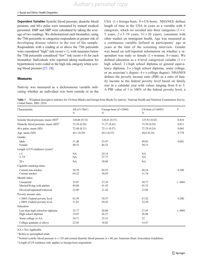<span id="page-4-0"></span>Dependent Variables Systolic blood pressure, diastolic blood pressure, and 60-s pulse were measured by trained medical personnel. DBP and SBP were calculated by taking the average of two readings. We dichotomized each biomarker, using the 75th percentile to categorize respondents at greater risk of developing disease relative to the rest of the sample. Respondents with a reading at or above the 75th percentile were considered "high" risk (score  $= 1$ ), with measures below the 75th percentile considered "low" risk (score  $= 0$ ) for each biomarker. Individuals who reported taking medication for hypertension were coded in the high risk category when scoring blood pressure [[27,](#page-12-0) [28](#page-12-0)].

#### Measures

Nativity was measured as a dichotomous variable indicating whether an individual was born outside or in the

USA  $(1 = \text{foreign-born}; 0 = \text{US-born})$ . NHANES defines length of time in the USA in years as a variable with 9 categories, which we recoded into three categories  $(1 = \leq$ 5 years;  $2 = 5-19$  years,  $3 = 20$  years), consistent with other studies on immigrant health. Age was measured as a continuous variable defined as participants' age in years at the time of the screening interview. Gender was based on self-reported information on whether a respondent was male or female  $(1 = \text{woman}; 0 = \text{man})$ . We defined education as a 4-level categorical variable  $(1 = <$ high school;  $2 =$  high school diploma or general equivalency diploma; 3 = > high school diploma, some college, or an associate's degree;  $4 = >$  college degree). NHANES defines the poverty income ratio (PIR) as a ratio of family income to the federal poverty level based on family size in a calendar year with values ranging from 0 to 5. A PIR value of 1 is 100% of the federal poverty level, a

Table 1 Weighted descriptive statistics for US-born Blacks and foreign-born Blacks by nativity: National Health and Nutrition Examination Survey, United States, 2001–2016

| Characteristic                                                         | All $(n^a=7661)$<br>$\%$ | Foreign-born $(n^a=2968)$<br>$\%$ | US-born $(n^a=4693)$<br>$\%$ | $\overline{P}$ |
|------------------------------------------------------------------------|--------------------------|-----------------------------------|------------------------------|----------------|
| Systolic blood pressure, mean (SD) <sup>b</sup>                        | 126.06 (0.32)            | 126.41(0.53)                      | 125.92 (0.42)                | 0.816          |
| Diastolic blood pressure, mean (SD) <sup>b</sup>                       | 72.18 (0.26)             | 71.27 (0.42)                      | 72.50 (0.29)                 | 0.011          |
| 60-s pulse, mean (SD)                                                  | 72.48 (0.21)             | 72.11 (0.37)                      | 72.78 (0.24)                 | 0.065          |
| Age, mean (SD)                                                         | 44.1 (0.29)              | 44.2 (0.53)                       | 44.0 (0.34)                  | 0.778          |
| Gender                                                                 |                          |                                   |                              |                |
| Male<br>Female                                                         | 51.48<br>48.52           | 53.47<br>46.53                    | 49.85<br>50.15               | 0.001          |
| Length of US residence $(years)^c$                                     |                          |                                   |                              |                |
| < 5<br>$5 - 19$                                                        | <b>NA</b><br>NA          | 24.14<br>37.77                    | <b>NA</b><br><b>NA</b>       |                |
| $20 +$                                                                 | NA                       | 38.09                             | <b>NA</b>                    |                |
| Cigarette smoking status                                               |                          |                                   |                              |                |
| Current non-smoker<br>Current smoker                                   | 30.78<br>69.22           | 69.55<br>30.45                    | 68.24<br>31.76               | 0.380          |
| Marital status                                                         |                          |                                   |                              |                |
| Unmarried<br>Married/living with partner<br>Divorced/separated/widowed | 33.07<br>44.04<br>22.89  | 37.29<br>41.45<br>21.26           | 30.77<br>45.35<br>23.88      | < .0001        |
| Poverty income ratio                                                   |                          |                                   |                              |                |
| <300% Federal poverty level<br>$\geq$ 300% Federal poverty level       | 63.39<br>31.61           | 70.57<br>29.43                    | 67.42<br>32.58               | 0.200          |
| Education                                                              |                          |                                   |                              |                |
| Less than high school/no diploma<br>High school diploma                | 33.77<br>19.07           | 20.08<br>26.57                    | 27.45<br>26.08               | < .0001        |
| Some college or AA                                                     | 24.71                    | 35.33                             | 32                           |                |
| College graduate or above                                              | 22.45                    | 18.02                             | 14.47                        |                |

NA = Not Applicable

a Refers to unweighted totals

<sup>b</sup> Normal systolic blood pressure is < 120 and normal diastolic blood pressure is < 80, per American Heart Association Guidelines

<sup>c</sup> Length of US residence only applies to foreign-born respondents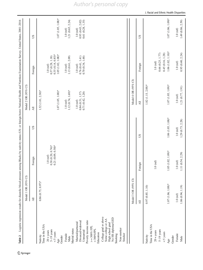<span id="page-5-0"></span>

|                                                                                                 | Model 1 OR (95% CI)               |                                                             |                      | Model 2 OR (95% CI)                                 |                                                                                 |                                                     |
|-------------------------------------------------------------------------------------------------|-----------------------------------|-------------------------------------------------------------|----------------------|-----------------------------------------------------|---------------------------------------------------------------------------------|-----------------------------------------------------|
|                                                                                                 | $\overline{\mathsf{A}}$ ll        | Foreign                                                     | SQ                   | $\overline{\mathsf{A}}$ ll                          | Foreign                                                                         | SU                                                  |
| Time in the USA<br>Nativity                                                                     | $0.86(0.75, 0.97)$ *              |                                                             |                      | $1.52(1.01, 2.30)$ *                                |                                                                                 |                                                     |
| $5-19$ years<br>$20 + y exists$<br>$<$ 5 years<br>Age                                           |                                   | $0.38(0.20, 0.74)$ *<br>$0.21(0.09, 0.50)$ *<br>$1.0$ (ref) |                      | $1.07(1.05, 1.08)$ *                                | $0.35(0.14, 0.85)$ *<br>$1.05(1.02, 1.08)$ *<br>0.57(0.28, 1.18)<br>$1.0$ (ref) | $1.07(1.05, 1.08)$ *                                |
| Marital status<br>Female<br>Gender<br>Male                                                      |                                   |                                                             |                      | $1.12(0.74, 1.69)$ *<br>$1.0$ (ref)                 | 1.13 (0.61, 2.09)<br>$1.0$ (ref)                                                | 1.21 (0.65, 2.24)<br>$1.0$ (ref)                    |
| Poverty income ratio<br>Divorced/widowed<br>Married/partnered<br>Unnarried                      |                                   |                                                             |                      | 0.71(0.42, 1.20)<br>0.84(0.51, 1.37)<br>$1.0$ (ref) | 0.76(0.41, 1.41)<br>0.70(0.34, 1.48)<br>$1.0$ (ref)                             | 0.61(0.28, 1.35)<br>0.93(0.43, 2.02)<br>$1.0$ (ref) |
| $> = 300\%$ FPL<br>$<300\%$ FPL<br>Education                                                    |                                   |                                                             |                      |                                                     |                                                                                 |                                                     |
| College grad or above<br>No HS diploma/GED<br>Some college or AA<br>High school grad<br>Smoking |                                   |                                                             |                      |                                                     |                                                                                 |                                                     |
| Non-smoker<br>Smoker                                                                            |                                   |                                                             |                      |                                                     |                                                                                 |                                                     |
|                                                                                                 | Model 3 OR (95% CI)               |                                                             |                      | Model 4 OR (95% CI)                                 |                                                                                 |                                                     |
|                                                                                                 | $\overline{\mathsf{A}}\mathsf{I}$ | Foreign                                                     | SU                   | $\overline{\mathsf{A}}\mathsf{I}$                   | Foreign                                                                         | SU                                                  |
| Time in the USA<br>Nativity                                                                     | 0.97(0.85, 1.10)                  |                                                             |                      | $1.82$ (1.15, $2.88$ )*                             |                                                                                 |                                                     |
| $5-19$ years<br>$20 + \text{years}$                                                             |                                   | $1.0$ (ref)                                                 |                      |                                                     | 0.45(0.16, 1.28)<br>0.66(0.25, 1.77)<br>$1.0$ (ref)                             |                                                     |
| $<$ 5 years<br>Age                                                                              | $1.07(1.06, 1.08)$ *              | $1.05$ $(1.02, 1.09)$ *                                     | $1.06(1.05, 1.08)$ * | $1.07(1.05, 1.09)$ *                                | $1.06(1.02, 1.10)*$                                                             | 1.07 (1.06, 1.09)*                                  |
| Female<br>Gender                                                                                | $1.0$ (ref)                       | $1.0$ (ref)                                                 | $1.0$ (ref)          | $1.0$ (ref)                                         | $1.0$ (ref)                                                                     | $1.0$ (ref)                                         |
| $\rm {Male}$                                                                                    | 1.06(0.94, 1.19)                  | 1.11 (0.54, 2.29)                                           | 1.29 (0.73, 2.28)    | 1.21(0.77, 1.91)                                    | 0.95(0.40, 2.24)                                                                | 1.49 (0.86, 2.59)                                   |

### $\underline{\textcircled{\tiny 2}}$  Springer

## *Author's personal copy*

#### J. Racial and Ethnic Health Disparities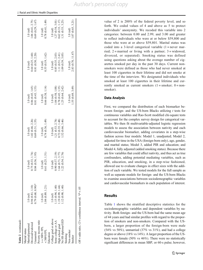| Author's personal copy |  |  |  |  |  |
|------------------------|--|--|--|--|--|
|------------------------|--|--|--|--|--|

|  |  |  |  |  | J. Racial and Ethnic Health Disparities |
|--|--|--|--|--|-----------------------------------------|
|--|--|--|--|--|-----------------------------------------|

| Table 2 (continued)                                          |                      |                   |                   |                   |                    |                   |
|--------------------------------------------------------------|----------------------|-------------------|-------------------|-------------------|--------------------|-------------------|
| Marital status                                               |                      |                   |                   |                   |                    |                   |
| Aarried/partnered                                            | $1.0$ (ref)          | $1.0$ (ref)       | $1.0$ (ref)       | $1.0$ (ref)       | $1.0$ (ref)        | $1.0$ (ref)       |
| bivorced/widowed                                             | 0.94(0.81, 1.10)     | 0.75(0.33, 1.74)  | 1.02 (0.46, 2.26) | 0.86(0.45, 1.65)  | 0.64(0.25, 1.60)   | 1.06(0.41, 2.75)  |
| Jnmarried                                                    | $0.79(0.68, 0.90)$ * | 0.84(0.36, 1.93)  | 0.69(0.31, 1.55)  | 0.81(0.43, 1.53)  | 0.81(0.30, 2.20)   | 0.69(0.29, 1.67)  |
| overty income ratio                                          |                      |                   |                   |                   |                    |                   |
| $>= 300\%$ FPL                                               | $1.0$ (ref)          | $1.0$ (ref)       | $1.0$ (ref)       | $1.0$ (ref)       | $1.0$ (ref)        | $1.0$ (ref)       |
| $<$ 300%FPL                                                  | .04(0.89, 1.21)      | 0.61(0.25, 1.51)  | 0.74(0.36, 1.49)  | 0.66(0.38, 1.14)  | 0.55(0.19, 1.62)   | 0.78(0.41, 1.49)  |
| Education                                                    |                      |                   |                   |                   |                    |                   |
| College grad or above                                        | $1.0$ (ref)          | $1.0$ (ref)       | $1.0$ (ref)       | $1.0$ (ref)       | $1.0$ (ref)        | $1.0$ (ref)       |
| Some college or AA                                           | .15(0.94, 1.40)      | 0.90(0.37, 2.19)  | 1.21(0.53, 2.74)  | 1.04(0.58, 1.88)  | 0.85(0.35, 2.03)   | 1.27(0.54, 3.01)  |
| High school grad                                             | .19(0.99, 1.44)      | 1.64(0.71, 3.77)  | 0.72 (0.35, 1.48) | 0.78(0.45, 1.35)  | 1.11(0.51, 2.41)   | 0.62(0.33, 1.17)  |
| No HS diploma/GED                                            | 1.12(0.90, 1.40)     | 1.22 (0.54, 2.76) | 1.52 (0.66, 3.46) | 1.25(0.64, 2.42)  | 1.09(0.39, 3.05)   | 1.31 (0.53, 3.23) |
| Smoking                                                      |                      |                   |                   |                   |                    |                   |
| Non-smoker                                                   |                      |                   |                   | $1.0$ (ref)       | $1.0$ (ref)        | $1.0$ (ref)       |
| Smoker                                                       |                      |                   |                   | 1.55 (0.69, 3.49) | 2.83 (0.70, 11.47) | 1.07(0.65, 3.21)  |
| $OR = odds ratio$ , $CI = confidence interval$ . * $P < .05$ |                      |                   |                   |                   |                    |                   |

value of 2 is 200% of the federal poverty level, and so forth. We coded values of 4 and above as 5 to protect individuals' anonymity. We recoded this variable into 2 categories: between 0.00 and 2.99, and 3.00 and greater to reflect individuals who were at or below \$59,800 and those who were at or above \$59,801. Marital status was coded into a 3-level categorical variable  $(1 =$  never married;  $2 =$  married or living with a partner;  $3 =$  widowed, divorced, or separated). Smoking status was defined using questions asking about the average number of cigarettes smoked per day in the past 30 days. Current nonsmokers were defined as those who had never smoked at least 100 cigarettes in their lifetime and did not smoke at the time of the interview. We designated individuals who smoked at least 100 cigarettes in their lifetime and currently smoked as current smokers  $(1 =$ smoker;  $0 =$ nonsmoker).

### Data Analysis

First, we compared the distribution of each biomarker between foreign- and the US-born Blacks utilizing  $t$  tests for continuous variables and Rao-Scott modified chi-square tests to account for the complex survey design for categorical variables. We then fit multivariable-adjusted logistic regression models to assess the association between nativity and each cardiovascular biomarker, adding covariates in a step-wise fashion across four models: Model 1, unadjusted; Model 2, adjusted for time in the USA (foreign-born only), age, gender, and marital status; Model 3, added PIR and education; and Model 4, fully adjusted (added smoking status). Because there are few variables that could affect nativity, and thus act as true confounders, adding potential mediating variables, such as PIR, education, and smoking, in a step-wise fashioned, allowed use to evaluate changes in effect sizes with the addition of each variable. We tested models for the full sample as well as separate models for foreign- and the US-born Blacks to examine associations between sociodemographic variables and cardiovascular biomarkers in each population of interest.

### Results

Table [1](#page-4-0) shows the stratified descriptive statistics for the sociodemographic variables and dependent variables by nativity. Both foreign- and the US-born had the same mean age of 44 years and had similar profiles with regard to the proportion of smokers and non-smokers. Compared with the USborn, a larger proportion of the foreign-born were male (54% vs 50%), unmarried (37% vs  $31\%$ ), and had a college degree or above (18% vs 14%). A larger proportion of the USborn were female (50% vs 46%). There were no statistically significant differences in mean SBP, or 60-s pulse; however,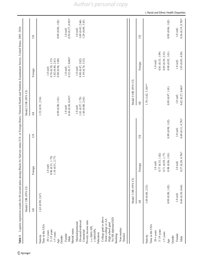<span id="page-7-0"></span>

|                                                                                                 | Model 1 OR (95% CI)      |                                                                                              |                      | Model 2 OR (95% CI)                                   |                                                                                                |                                                     |
|-------------------------------------------------------------------------------------------------|--------------------------|----------------------------------------------------------------------------------------------|----------------------|-------------------------------------------------------|------------------------------------------------------------------------------------------------|-----------------------------------------------------|
|                                                                                                 | $\overline{AB}$          | Foreign                                                                                      | SU                   | $\overline{AB}$                                       | Foreign                                                                                        | SU                                                  |
| Time in the USA<br>Nativity                                                                     | 1.63 (0.99, 2.67)        |                                                                                              |                      | 1.52(0.91, 2.54)                                      |                                                                                                |                                                     |
| $5-19$ years<br>$20 + y exists$<br>$<$ 5 years<br>Gender<br>Age                                 |                          | $\begin{array}{c} 0.96 \ (0.51, \ 1.79) \\ 1.19 \ (0.51, \ 2.77) \end{array}$<br>$1.0$ (ref) |                      | 0.99(0.98, 1.01)                                      | 0.98(0.96, 1.00)<br>0.76(0.38, 1.53)<br>1.02(0.40, 2.61)<br>$1.0$ (ref)                        | 0.99(0.98, 1.02)                                    |
| Marital status<br>Female<br>Male                                                                |                          |                                                                                              |                      | $0.44(0.30, 0.65)$ *<br>$1.0$ (ref)                   | $0.32(0.17, 0.60)$ *<br>$1.0$ (ref)                                                            | $0.59(0.37, 0.93)$ *<br>$1.0$ (ref)                 |
| Poverty income ratio<br>Divorced/widowed<br>Married/partnered<br>Unnarried                      |                          |                                                                                              |                      | 1.01 (0.57, 1.79)<br>1.46 (0.80, 2.65)<br>$1.0$ (ref) | $\begin{array}{c} 0.98 \ (0.47, \, 2.02) \\ 1.59 \ (0.76, \, 3.32) \end{array}$<br>$1.0$ (ref) | 1.09(0.45, 2.66)<br>1.29(0.49, 3.43)<br>$1.0$ (ref) |
| $> = 300\%$ FPL<br>$<300\%$ FPL<br>Education                                                    |                          |                                                                                              |                      |                                                       |                                                                                                |                                                     |
| College grad or above<br>No HS diploma/GED<br>Some college or AA<br>High school grad<br>Smoking |                          |                                                                                              |                      |                                                       |                                                                                                |                                                     |
| Non-smoker<br>Smoker                                                                            |                          |                                                                                              |                      |                                                       |                                                                                                |                                                     |
|                                                                                                 | Model 3 OR (95% CI)      |                                                                                              |                      | Model 4 OR (95% CI)                                   |                                                                                                |                                                     |
|                                                                                                 | $\overline{\mathrm{Al}}$ | Foreign                                                                                      | SU                   | $\overline{\mathsf{A}}\mathsf{I}$                     | Foreign                                                                                        | SU                                                  |
| Time in the USA<br>Nativity                                                                     | 1.49 (0.88, 2.53)        |                                                                                              |                      | $1.78$ $(1.02, 3.10)$ **                              |                                                                                                |                                                     |
| $20 + \text{years}$                                                                             |                          | (ref)<br>1.0                                                                                 |                      |                                                       | $1.0$ (ref)                                                                                    |                                                     |
| $5-19$ years                                                                                    |                          | (0.33, 1.82)<br>0.77                                                                         |                      |                                                       | 0.81(0.33, 1.99)                                                                               |                                                     |
| $<$ 5 years                                                                                     |                          | (0.29, 1.77)<br>$0.71\,$                                                                     |                      |                                                       | 0.95(0.39, 2.32)                                                                               |                                                     |
| Age                                                                                             | 0.99(0.98, 1.02)         | (0.96, 1.01)<br>0.98                                                                         | 0.99(0.98, 1.02)     | 0.99(0.97, 1.01)                                      | 0.98(0.95, 1.01)                                                                               | 0.99(0.96, 1.02)                                    |
| Gender                                                                                          |                          |                                                                                              |                      |                                                       |                                                                                                |                                                     |
| Female                                                                                          | $1.0$ (ref)              | (ref)<br>$\ddot{=}$                                                                          | $1.0$ (ref)          | $1.0$ (ref)                                           | $1.0$ (ref)                                                                                    | $1.0$ (ref)                                         |
| Male                                                                                            | 0.44(0.30, 0.64)         | $(0.20, 0.70)$ *<br>0.37                                                                     | $0.49(0.31, 0.79)$ * | $0.42(0.27, 0.66)$ *                                  | 1.95 (0.85, 4.50)                                                                              | $0.36(0.19, 0.70)$ *                                |

### $\underline{\textcircled{\tiny 2}}$  Springer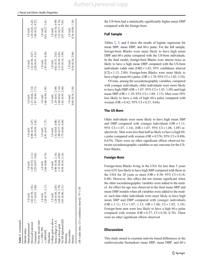| Table 3 (continued)                                        |                   |                   |                   |                  |                   |                   |
|------------------------------------------------------------|-------------------|-------------------|-------------------|------------------|-------------------|-------------------|
| Marital status                                             |                   |                   |                   |                  |                   |                   |
| Married/partnered                                          | $1.0$ (ref)       | $1.0$ (ref)       | $1.0$ (ref)       | $1.0$ (ref)      | $1.0$ (ref)       | $1.0$ (ref)       |
| Divorced/widowed                                           | 1.02(0.58, 1.81)  | 1.05(0.52, 2.11)  | 0.98(0.39, 2.47)  | .23(0.66, 2.32)  | 1.22 (0.56, 2.67) | 1.20(0.42, 3.42)  |
| Jnmarried                                                  | 1.77(0.93, 3.40)  | 2.20 (0.97, 5.02) | 1.34(0.50, 3.62)  | .87(0.94, 3.71)  | 2.20(0.91, 5.32)  | 1.48(0.52, 4.22)  |
| Poverty income ratio                                       |                   |                   |                   |                  |                   |                   |
| $> = 300\%$ FPL                                            | $1.0$ (ref)       | $1.0$ (ref)       | $1.0$ (ref)       | $1.0$ (ref)      | $1.0$ (ref)       | $1.0$ (ref)       |
| $<$ 300%FPL                                                | 1.28(0.75, 2.17)  | 2.04 (0.89, 4.75) | 0.91 (0.47, 1.77) | 1.08(0.59, 1.95) | 1.95 (0.85, 4.50) | 0.61(0.27, 1.41)  |
| Education                                                  |                   |                   |                   |                  |                   |                   |
| College grad or above                                      | $1.0$ (ref)       | $1.0$ (ref)       | $1.0$ (ref)       | $1.0$ (ref)      | $1.0$ (ref)       | $1.0$ (ref)       |
| Some college or AA                                         | 1.28(0.68, 2.43)  | 0.90(0.38, 2.16)  | 1.62(0.65, 4.08)  | 1.29(0.67, 2.49) | 0.82(0.33, 2.02)  | 1.92(0.74, 4.99)  |
| High school grad                                           | 1.68 (0.74, 3.79) | 1.35(0.44, 4.08)  | 1.90(0.57, 6.33)  | 1.40(0.62, 3.16) | 1.13 (0.45, 2.85) | 1.32(0.37, 4.76)  |
| No HS diploma/GED                                          | 1.03(0.46, 2.31)  | 0.58(0.16, 2.14)  | 1.75 (0.66, 4.64) | 1.02(0.43, 2.46) | 0.53(0.14, 1.99)  | 2.07 (0.61, 7.01) |
| Smoking                                                    |                   |                   |                   |                  |                   |                   |
| Non-smoker                                                 |                   |                   |                   | $1.0$ (ref)      | $1.0$ (ref)       | $1.0$ (ref)       |
| Smoker                                                     |                   |                   |                   | 0.49(0.16, 1.54) | 0.54(0.10, 2.96)  | 0.34(0.09, 1.34)  |
| $OR = odds$ ratio, $CI = confidence$ interval. * $P < .05$ |                   |                   |                   |                  |                   |                   |

the US-born had a statistically significantly higher mean DBP compared with the foreign-born.

### Full Sample

Tables [2,](#page-5-0) [3](#page-7-0), and [4](#page-9-0) show the results of logistic regression for mean SBP, mean DBP, and 60-s pulse. For the full sample, foreign-born Blacks were more likely to have high mean DBP and 60-s pulse compared with the US-born individuals. In the final model, foreign-born Blacks were almost twice as likely to have a high mean DBP compared with the US-born individuals (odds ratio [OR] = 1.82; 95% confidence interval  $|CI| = 1.15, 2.88$ . Foreign-born Blacks were more likely to have a high mean 60-s pulse,  $OR = 1.78$ ;  $95\% CI = 1.02$ . 3.10).

Of note, among the sociodemographic variables, compared with younger individuals, older individuals were more likely to have high DBP (OR =  $1.07$ ; 95% CI =  $1.05$ , 1.09) and high mean SBP (OR = 1.10; 95% CI = 1.08. 1.13). Men were 58% less likely to have a risk of high 60-s pulse compared with women (OR =  $0.42$ ; 95% CI = 0.27, 0.66).

### The US-Born

Older individuals were more likely to have high mean SBP and DBP compared with younger individuals  $(OR = 1.11)$ ; 95% CI = 1.07, 1.14), (OR = 1.07; 95% CI = 1.06, 1.09) respectively. Men were less than half as likely to have a high 60 s pulse compared with women (OR =  $0.576$ ;  $95\%$  CI =  $0.496$ , 0.670). There were no other significant effects observed between sociodemographic variables or any outcome for the USborn Blacks.

### Foreign-Born

Foreign-born Blacks living in the USA for less than 5 years were 62% less likely to have high SBP compared with those in the USA for 20 years or more (OR =  $0.38$ ; 95% CI =  $0.18$ , 0.80). However, this effect did not remain significant when the other sociodemographic variables were added to the model. An effect for age was observed in the final mean SBP and mean DBP models when all variables were added to the model, such that older individuals were more likely to have high mean SBP and DBP compared with younger individuals  $(OR = 1.11; CI = 1.07, 1.15; OR = 1.06; CI = 1.02, 1.10).$ Foreign-born men were less likely to have a high 60-s pulse compared with women  $(OR = 0.37; CI = 0.20, 0.70)$ . There were no other significant effects observed.

### **Discussion**

This study aimed to examine nativity-based differences in the cardiovascular biomarkers mean SBP, mean DBP, and 60-s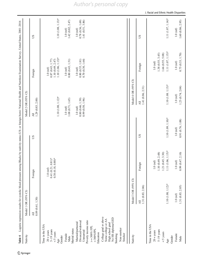<span id="page-9-0"></span>

| Table 4                                                                                                                                                                                                                                                                                                                                                                         |                                                        |                                                                                              |                                  |                                                                                                                | Logistic regression results for systolic blood pressure among Blacks by nativity status (US- or foreign-born): National Health and Nutrition Examination Survey, United States, 2001-2016 |                                                                                                                 |
|---------------------------------------------------------------------------------------------------------------------------------------------------------------------------------------------------------------------------------------------------------------------------------------------------------------------------------------------------------------------------------|--------------------------------------------------------|----------------------------------------------------------------------------------------------|----------------------------------|----------------------------------------------------------------------------------------------------------------|-------------------------------------------------------------------------------------------------------------------------------------------------------------------------------------------|-----------------------------------------------------------------------------------------------------------------|
| Nativity                                                                                                                                                                                                                                                                                                                                                                        | Model 1 OR (95% CI)                                    |                                                                                              |                                  | Model 2 OR (95% CI)                                                                                            |                                                                                                                                                                                           |                                                                                                                 |
|                                                                                                                                                                                                                                                                                                                                                                                 | 0.89(0.61, 1.30)<br>$\overline{\mathsf{A}}$ ll         | Foreign                                                                                      | $\overline{AB}$<br>SU            | 1.29(0.83, 2.00)                                                                                               | Foreign                                                                                                                                                                                   | SU                                                                                                              |
| College grad or above<br>No HS diploma/GED<br>Some college or AA<br>Poverty income ratio<br>Divorced/widowed<br>Married/partnered<br>High school grad<br>Time in the USA<br>$> = 300\%$ FPL<br>Non-smoker<br>Marital status<br>$<300\%$ FPL<br>Unmarried<br>$5-19$ years<br>$20 + y exists$<br>$<$ 5 years<br>Education<br>Smoker<br>Smoking<br>Female<br>Gender<br>Male<br>Age |                                                        | $\begin{array}{c} 0.41\ (0.21,\ 0.81)^* \\ 0.38\ (0.18,\ 0.80)^* \end{array}$<br>$1.0$ (ref) |                                  | $1.10(1.08, 1.12)*$<br>1.08 (0.71, 1.65)<br>0.80(0.46, 1.39)<br>0.99(0.50, 1.96)<br>$1.0$ (ref)<br>$1.0$ (ref) | $1.10(1.06, 1.13)$ *<br>0.80(0.43, 1.51)<br>0.80(0.35, 1.81)<br>1.10(0.49, 2.47)<br>0.70(0.30, 1.64)<br>0.87(0.43, 1.77)<br>$1.0$ (ref)<br>$1.0$ (ref)<br>$1.0$ (ref)                     | $1.10(1.08, 1.13)*$<br>1.42 (0.82, 2.47)<br>0.78(0.36, 1.69)<br>1.41 (0.51, 3.86)<br>$1.0$ (ref)<br>$1.0$ (ref) |
| Nativity                                                                                                                                                                                                                                                                                                                                                                        | Model 3 OR (95% CI)                                    |                                                                                              |                                  | Model 4 OR (95% CI)                                                                                            |                                                                                                                                                                                           |                                                                                                                 |
|                                                                                                                                                                                                                                                                                                                                                                                 | 1.31 (0.83, 2.06)<br>$\overline{\mathsf{A}}\mathsf{I}$ | Foreign                                                                                      | SU                               | 1.41 (0.86, 2.31)<br>$\overline{\mathrm{Al}}$                                                                  | Foreign                                                                                                                                                                                   | SU                                                                                                              |
| Time in the USA<br>5-19 years<br>$20 + \text{years}$<br>$<$ 5 years<br>Gender<br>Age                                                                                                                                                                                                                                                                                            | $1.10(1.08, 1.12)$ *                                   | $1.11(1.06, 1.15)$ *<br>1.10(0.49, 2.48)<br>1.21(0.45, 3.30)<br>$1.0$ (ref)                  | $1.10(1.09, 1.10)$ *             | $1.10(1.08.1.13)$ *                                                                                            | $1.11(1.07, 1.15)*$<br>1.38 (0.55, 3.45)<br>1.66 (0.55, 5.08)<br>$1.0$ (ref)                                                                                                              | 1.11 (1.07, 1.14)*                                                                                              |
| Female<br>Male                                                                                                                                                                                                                                                                                                                                                                  | 1.31 (0.83, 2.05)<br>$1.0$ (ref)                       | 0.99(0.47, 2.10)<br>$1.0$ (ref)                                                              | 0.91 (0.76, 1.08)<br>$1.0$ (ref) | 1.23(0.74, 2.04)<br>$1.0$ (ref)                                                                                | 0.75(0.33, 1.70)<br>$1.0$ (ref)                                                                                                                                                           | 1.60 (0.86, 2.95)<br>$1.0$ (ref)                                                                                |

### $\underline{\textcircled{\tiny 2}}$  Springer

J. Racial and Ethnic Health Disparities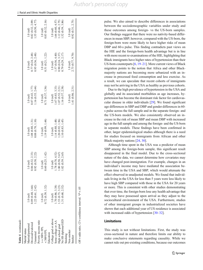| Table 4 (continued)                                        |                   |                  |                       |                  |                   |                   |
|------------------------------------------------------------|-------------------|------------------|-----------------------|------------------|-------------------|-------------------|
| Marital status                                             |                   |                  |                       |                  |                   |                   |
| Married/partnered                                          | $1.0$ (ref)       | $1.0$ (ref)      | $1.0$ (ref)           | $1.0$ (ref)      | $1.0$ (ref)       | $1.0$ (ref)       |
| bivorced/widowed                                           | 0.89(0.48, 1.66)  | 86 (0.32, 2.33)  | 1.08(0.88, 1.31)      | 0.87(0.43, 1.77) | 0.77 (0.24, 2.48) | 0.82(0.32, 2.09)  |
| Jnmarried                                                  | 1.22(0.61, 2.42)  | 0.92(0.38, 2.22) | $0.88\ (0.70,\ 1.10)$ | .16(0.55, 2.44)  | 0.95(0.36, 2.48)  | 1.55(0.50, 4.77)  |
| Poverty income ratio                                       |                   |                  |                       |                  |                   |                   |
| $>= 300\%$ FPL                                             | $1.0$ (ref)       | $1.0$ (ref)      | $1.0$ (ref)           | $1.0$ (ref)      | $1.0$ (ref)       | $1.0$ (ref)       |
| $<$ 300%FPL                                                | 0.72(0.39, 1.32)  | .60 (0.25, 1.42) | 1.19(0.99, 1.44)      | 0.71(0.37, 1.36) | 0.51(0.21, 1.22)  | 0.83 (0.32, 2.16) |
| Education                                                  |                   |                  |                       |                  |                   |                   |
| College grad or above                                      | $1.0$ (ref)       | $1.0$ (ref)      | $1.0$ (ref)           | $1.0$ (ref)      | $1.0$ (ref)       | $1.0$ (ref)       |
| Some college or AA                                         | 1.70(0.86, 3.38)  | .78(0.70, 4.52)  | 1.14(0.88, 1.48)      | 1.67(0.83, 3.33) | 1.57 (0.56, 4.40) | 1.66 (0.60, 4.57) |
| High school grad                                           | 1.53 (0.73, 3.23) | .80(0.58, 5.67)  | .20(0.92, 1.56)       | .07(0.52, 2.21)  | 0.90(0.24, 3.37)  | 1.12(0.46, 2.75)  |
| No HS diploma/GED                                          | 1.31 (0.68, 2.52) | .02(0.39, 2.65)  | .10(0.83, 1.45)       | .16(0.57, 2.38)  | 0.79(0.29, 2.17)  | 1.52(0.59, 3.86)  |
| Smoking                                                    |                   |                  |                       |                  |                   |                   |
| Non-smoker                                                 |                   |                  |                       | $1.0$ (ref)      | $1.0$ (ref)       | $1.0$ (ref)       |
| Smoker                                                     |                   |                  |                       | 1.41(0.86, 2.31) | 2.73 (0.77, 9.70) | 0.92(0.31, 2.75)  |
| $OR = odds$ ratio, $CI = confidence$ interval. * $P < .05$ |                   |                  |                       |                  |                   |                   |

pulse. We also aimed to describe differences in associations between the sociodemographic variables under study and these outcomes among foreign- vs the US-born samples. Our findings suggest that there were no nativity-based differences in mean SBP; however, compared with the US-born, the foreign-born were more likely to have higher risks of mean DBP and 60-s pulse. This finding contradicts past views on the HIE and the foreign-born health advantage but is in line with more recent re-examinations of the HIE, highlighting that Black immigrants have higher rates of hypertension than their US-born counterparts [\[6,](#page-11-0) [19](#page-11-0)–[21\]](#page-12-0). More current views of Black migration points to the notion that Africa and other Blackmajority nations are becoming more urbanized with an increase in processed food consumption and less exercise. As a result, we can speculate that recent cohorts of immigrants may not be arriving in the USA as healthy as previous cohorts.

Due to the high prevalence of hypertension in the USA and globally and its associated morbidities as age increases, hypertension has become the dominant risk factor for cardiovascular disease in older individuals [\[29](#page-12-0)]. We found significant age differences in SBP and DBP and gender differences in 60 s pulse across the full sample and in the separate foreign- and the US-born models. We also consistently observed an increase in the risk of mean SBP and mean DBP with increased age in the full sample and among the foreign- and the US-born in separate models. These findings have been confirmed in other, larger epidemiological studies although there is a need for studies focused on immigrants from African and other Black-majority nations [[24,](#page-12-0) [30](#page-12-0)].

Although time spent in the USA was a predictor of mean SBP among the foreign-born sample, this significant result disappeared in the final model. Due to the cross-sectional nature of the data, we cannot determine how covariates may have changed post-immigration. For example, changes in an individual's income may have mediated the association between time in the USA and SBP, which would attenuate the effect observed in unadjusted models. We found that individuals living in the USA for less than 5 years were less likely to have high SBP compared with those in the USA for 20 years or more. This is consistent with other studies demonstrating that over time, the foreign-born lose any health advantage that they may have possessed upon arrival as they adjust to the sociocultural environment of the USA. Furthermore, studies of other immigrant groups in industrialized societies have shown that each additional year of US residence is associated with increased odds of hypertension [[30](#page-12-0)–[32](#page-12-0)].

### Limitations

This study is not without limitations. First, the study was cross-sectional in nature and therefore limits our ability to make conclusive statements regarding causality. While we cannot rule out pre-existing conditions, because our outcomes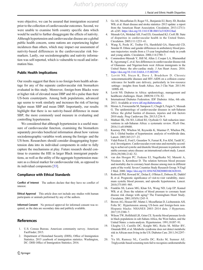<span id="page-11-0"></span>were objective, we can be assured that immigration occurred prior to the collection of cardiovascular outcomes. Second, we were unable to examine birth country specific data which would be useful to further disaggregate the effects of nativity. Although hypertension and cardiovascular disease are a global public health concern, some nations are experiencing higher incidences than others, which may impact our assessment of nativity-based differences in the cardiovascular risk biomarkers. Lastly, our sociodemographic and nativity information was self-reported, which is vulnerable to recall and information bias.

### Public Health Implications

Our results suggest that there is no foreign-born health advantage for any of the separate cardiovascular risk biomarkers evaluated in this study. Moreover, foreign-born Blacks were at higher risk of elevated mean DBP and 60-s pulse than their US-born counterparts. Among both populations, advanced age seems to work similarly and increases the risk of having higher mean SBP and mean DBP. Importantly, our results highlight that there is no nativity-based difference in mean SBP, the more commonly used measure in evaluating and controlling hypertension.

We considered that although hypertension is a useful measure of cardiovascular function, examining the biomarkers separately provides beneficial information about how various sociodemographic variables work among the foreign- and the US-born. Researchers should consider disaggregating hypertension data into its individual components in order to fully capture the mechanisms at play. Future research should continue to examine the HIE in larger Black immigrant populations, as well as the utility of the aggregate hypertension measure as a clinical marker for cardiovascular risk, as opposed to its individual components [\[33](#page-12-0)].

#### Compliance with Ethical Standards

Conflict of Interest The authors declare that they have no conflict of interest.

Ethical Approval This article does not include any studies with human participants or animals performed by any of the authors.

Informed Consent No protocol approval for informed consent was required, as the data are secondary data and publicly available.

### References

- 1. U.S. Census Bureau. American community survey. American FactFinder; 2015.
- 2. Department of Homeland Security (DHS), Office of Immigration Statistics. 2015 yearbook of immigration statistics. Washington, DC: DHS Office of Immigration Statistics; 2016.
- 3. Go AS, Mozaffarian D, Roger VL, Benjamin EJ, Berry JD, Borden WB, et al. Heart disease and stroke statistics–2013 update: a report from the American Heart Association. Circulation. 2013;127(1): e6–e245. <https://doi.org/10.1161/CIR.0b013e31828124ad>.
- 4. Mensah GA, Mokdad AH, Ford ES, Greenlund KJ, Croft JB. State of disparities in cardiovascular health in the United States. Circulation. 2005;111:1233–41.
- 5. Wang X, Poole JC, Treiber FA, Harshfield GA, Hanevold CD, Snieder H. Ethnic and gender differences in ambulatory blood pressure trajectories: results from a 15-year longitudinal study in youth and young adults. Circulation. 2006;114:2780–7.
- 6. Commodore-Mensah Y, Hill M, Allen J, Cooper LA, Blumenthal R, Agyemang C, et al. Sex differences in cardiovascular disease risk of Ghanaian- and Nigerian-born west African immigrants in the United States: the afro-cardiac study. J Am Heart Assoc. 2016. [https://doi.org/10.1161/JAHA.115.002385.](https://doi.org/10.1161/JAHA.115.002385)
- 7. Levitt NS, Steyn K, Dave J, Bradshaw D. Chronic noncommunicable diseases and HIV-AIDS on a collision course: relevance for health care delivery, particularly in low-resource settings—insights from South Africa. Am J Clin Nutr. 2011;94: 1690S–6S.
- 8. Levitt NS. Diabetes in Africa: epidemiology, management and healthcare challenges. Heart. 2008;94:1376–82.
- 9. International Diabetes Federation. IDF Diabetes Atlas, 6th edn. 2013. Available at [www.idf.org/diabetesatlas.](https://doi.org/10.1161/CIR.0b013e31828124ad)
- 10. Moran A, Forouzanfar M, Sampson U, Chugh S, Feigin V, Mensah G. The epidemiology of cardiovascular diseases in sub-Saharan Africa: the global burden of diseases, injuries and risk factors 2010 study. Prog Cardiovasc Dis. 2013;5:234–9.
- 11. Muthuri SK, Oti SO, Lilford RJ, Oyebode O. Salt reduction interventions in sub-Saharan Africa: a systematic review. PLoS One. 2016;11:e0149680.
- 12. Kearney PM, Whelton M, Reynolds K, Muntner P, Whelton PK, He J. Global burden of hypertension: analysis of worldwide data. Lancet. 2005;365:217–23.
- 13. Vidal-Petiot E, Ford I, Greenlaw N, Ferrari R, Fox KM, Tardif JC, et al. Investigators. Cardiovascular event rates and mortality according to achieved systolic and diastolic blood pressure in patients with stable coronary artery disease: an international cohort study. Lancet. 2016;29(388):2142–52.
- 14. van den Hoogen PC, Feskens EJ, Nagelkerke NJ, Menotti A, Nissinen A, Kromhout D. The relation between blood pressure and mortality due to coronary heart disease among men in different parts of the world. Seven Countries Study Research Group. N Engl J Med. 2000. <https://doi.org/10.1056/NEJM200001063420101>.
- 15. Rothwell PM, Howard SC, Dolan E, O'Brien E, Dobson JE, Dahlöf B, et al. Prognostic significance of visit-to-visit variability, maximum systolic blood pressure, and episodic hypertension. Lancet. 2010;375:895–905.
- 16. Franklin SS, Larson MG, Khan SA, Wong ND, Leip EP, Kannel WB, et al. Does the relation of blood pressure to coronary heart disease risk change with aging? The Framingham Heart Study. Circulation. 2001;103(9):1245–9.
- 17. Brown AG, Houser RF, Mattei J, Mozaffarian D, Lichtenstein AH, Folta SC. Hypertension among US-born and foreign-born non-Hispanic blacks: NHANES 2003–2014 data. J Hypertens. 2017;35:2380–7.
- 18. Wilson TW, Hollifield LR, Grim CE. Systolic blood pressure levels in black populations in sub-Sahara Africa, the West Indies, and the United States: a meta-analysis. Hypertension. 1991;18:I87–91.
- 19. Ukegbu UJ, Castillo DC, Knight MG, Ricks M, Miller BV, Onumah BM, et al. Metabolic syndrome does not detect metabolic risk in African men living in the US. Diabetes Care. 2011;34:2297– 9.
- 20. Yu SS, Ramsey NL, Castillo DC, Ricks M, Sumner AE. Triglyceride-based screening tests fail to recognize cardiometabolic